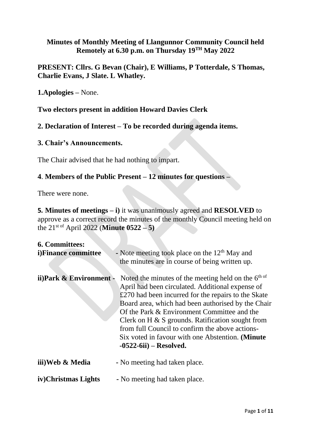#### **Minutes of Monthly Meeting of Llangunnor Community Council held Remotely at 6.30 p.m. on Thursday 19TH May 2022**

### **PRESENT: Cllrs. G Bevan (Chair), E Williams, P Totterdale, S Thomas, Charlie Evans, J Slate. L Whatley.**

**1.Apologies –** None.

**Two electors present in addition Howard Davies Clerk**

**2. Declaration of Interest – To be recorded during agenda items.**

#### **3. Chair's Announcements.**

The Chair advised that he had nothing to impart.

### **4**. **Members of the Public Present – 12 minutes for questions –**

There were none.

**5***.* **Minutes of meetings – i)** it was unanimously agreed and **RESOLVED** to approve as a correct record the minutes of the monthly Council meeting held on the 21st of April 2022 (**Minute 0522 – 5)**

| 6. Committees:          |                                                                                                                                                                                                                                                                                                                                                                                                                                                                |
|-------------------------|----------------------------------------------------------------------------------------------------------------------------------------------------------------------------------------------------------------------------------------------------------------------------------------------------------------------------------------------------------------------------------------------------------------------------------------------------------------|
| i)Finance committee     | - Note meeting took place on the $12th$ May and<br>the minutes are in course of being written up.                                                                                                                                                                                                                                                                                                                                                              |
| ii)Park & Environment - | Noted the minutes of the meeting held on the $6th of$<br>April had been circulated. Additional expense of<br>£270 had been incurred for the repairs to the Skate<br>Board area, which had been authorised by the Chair<br>Of the Park & Environment Committee and the<br>Clerk on H $\&$ S grounds. Ratification sought from<br>from full Council to confirm the above actions-<br>Six voted in favour with one Abstention. (Minute<br>$-0522-6ii$ – Resolved. |
| iii)Web & Media         | - No meeting had taken place.                                                                                                                                                                                                                                                                                                                                                                                                                                  |
| iv)Christmas Lights     | - No meeting had taken place.                                                                                                                                                                                                                                                                                                                                                                                                                                  |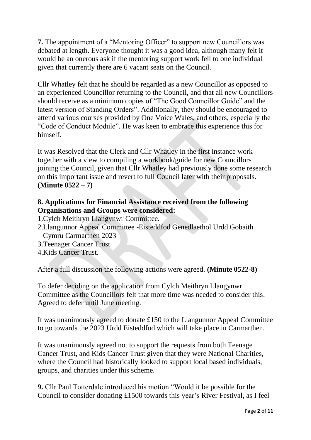**7.** The appointment of a "Mentoring Officer" to support new Councillors was debated at length. Everyone thought it was a good idea, although many felt it would be an onerous ask if the mentoring support work fell to one individual given that currently there are 6 vacant seats on the Council.

Cllr Whatley felt that he should be regarded as a new Councillor as opposed to an experienced Councillor returning to the Council, and that all new Councillors should receive as a minimum copies of "The Good Councillor Guide" and the latest version of Standing Orders". Additionally, they should be encouraged to attend various courses provided by One Voice Wales, and others, especially the "Code of Conduct Module". He was keen to embrace this experience this for himself.

It was Resolved that the Clerk and Cllr Whatley in the first instance work together with a view to compiling a workbook/guide for new Councillors joining the Council, given that Cllr Whatley had previously done some research on this important issue and revert to full Council later with their proposals. **(Minute 0522 – 7)**

## **8. Applications for Financial Assistance received from the following Organisations and Groups were considered:**

- 1.Cylch Meithryn Llangynwr Committee.
- 2.Llangunnor Appeal Committee -Eisteddfod Genedlaethol Urdd Gobaith Cymru Carmarthen 2023
- 3.Teenager Cancer Trust.
- 4.Kids Cancer Trust.

After a full discussion the following actions were agreed. **(Minute 0522-8)**

To defer deciding on the application from Cylch Meithryn Llangynwr Committee as the Councillors felt that more time was needed to consider this. Agreed to defer until June meeting.

It was unanimously agreed to donate £150 to the Llangunnor Appeal Committee to go towards the 2023 Urdd Eisteddfod which will take place in Carmarthen.

It was unanimously agreed not to support the requests from both Teenage Cancer Trust, and Kids Cancer Trust given that they were National Charities, where the Council had historically looked to support local based individuals, groups, and charities under this scheme.

**9.** Cllr Paul Totterdale introduced his motion "Would it be possible for the Council to consider donating £1500 towards this year's River Festival, as I feel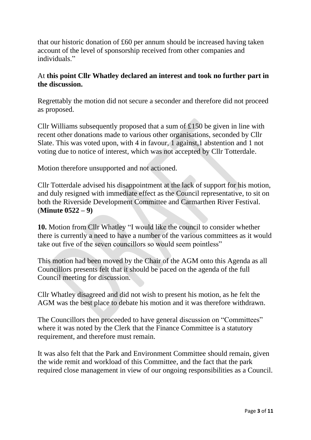that our historic donation of £60 per annum should be increased having taken account of the level of sponsorship received from other companies and individuals."

## At **this point Cllr Whatley declared an interest and took no further part in the discussion.**

Regrettably the motion did not secure a seconder and therefore did not proceed as proposed.

Cllr Williams subsequently proposed that a sum of £150 be given in line with recent other donations made to various other organisations, seconded by Cllr Slate. This was voted upon, with 4 in favour, 1 against,1 abstention and 1 not voting due to notice of interest, which was not accepted by Cllr Totterdale.

Motion therefore unsupported and not actioned.

Cllr Totterdale advised his disappointment at the lack of support for his motion, and duly resigned with immediate effect as the Council representative, to sit on both the Riverside Development Committee and Carmarthen River Festival. (**Minute 0522 – 9)**

**10.** Motion from Cllr Whatley "I would like the council to consider whether there is currently a need to have a number of the various committees as it would take out five of the seven councillors so would seem pointless"

This motion had been moved by the Chair of the AGM onto this Agenda as all Councillors presents felt that it should be paced on the agenda of the full Council meeting for discussion.

Cllr Whatley disagreed and did not wish to present his motion, as he felt the AGM was the best place to debate his motion and it was therefore withdrawn.

The Councillors then proceeded to have general discussion on "Committees" where it was noted by the Clerk that the Finance Committee is a statutory requirement, and therefore must remain.

It was also felt that the Park and Environment Committee should remain, given the wide remit and workload of this Committee, and the fact that the park required close management in view of our ongoing responsibilities as a Council.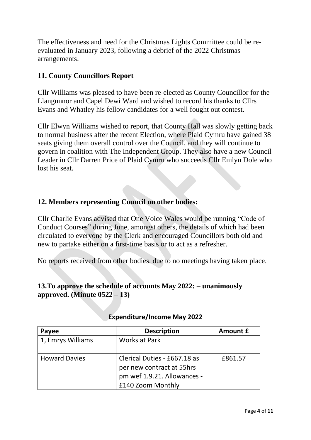The effectiveness and need for the Christmas Lights Committee could be reevaluated in January 2023, following a debrief of the 2022 Christmas arrangements.

## **11. County Councillors Report**

Cllr Williams was pleased to have been re-elected as County Councillor for the Llangunnor and Capel Dewi Ward and wished to record his thanks to Cllrs Evans and Whatley his fellow candidates for a well fought out contest.

Cllr Elwyn Williams wished to report, that County Hall was slowly getting back to normal business after the recent Election, where Plaid Cymru have gained 38 seats giving them overall control over the Council, and they will continue to govern in coalition with The Independent Group. They also have a new Council Leader in Cllr Darren Price of Plaid Cymru who succeeds Cllr Emlyn Dole who lost his seat.

# **12. Members representing Council on other bodies:**

Cllr Charlie Evans advised that One Voice Wales would be running "Code of Conduct Courses" during June, amongst others, the details of which had been circulated to everyone by the Clerk and encouraged Councillors both old and new to partake either on a first-time basis or to act as a refresher.

No reports received from other bodies, due to no meetings having taken place.

### **13.To approve the schedule of accounts May 2022: – unanimously approved. (Minute 0522 – 13)**

| Payee                | <b>Description</b>                                                                                            | Amount £ |
|----------------------|---------------------------------------------------------------------------------------------------------------|----------|
| 1, Emrys Williams    | <b>Works at Park</b>                                                                                          |          |
| <b>Howard Davies</b> | Clerical Duties - £667.18 as<br>per new contract at 55hrs<br>pm wef 1.9.21. Allowances -<br>£140 Zoom Monthly | £861.57  |

#### **Expenditure/Income May 2022**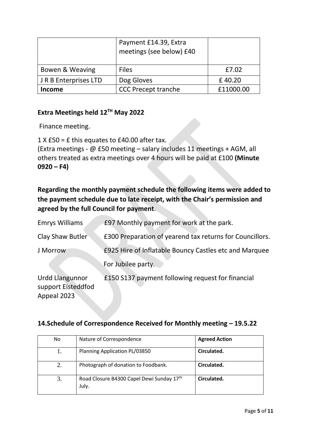|                      | Payment £14.39, Extra<br>meetings (see below) £40 |           |
|----------------------|---------------------------------------------------|-----------|
| Bowen & Weaving      | <b>Files</b>                                      | £7.02     |
| JR B Enterprises LTD | Dog Gloves                                        | £40.20    |
| Income               | <b>CCC Precept tranche</b>                        | £11000.00 |

## **Extra Meetings held 12TH May 2022**

Finance meeting.

1 X £50 = £ this equates to £40.00 after tax.

(Extra meetings - @ £50 meeting – salary includes 11 meetings + AGM, all others treated as extra meetings over 4 hours will be paid at £100 **(Minute**   $0920 - F4$ 

# **Regarding the monthly payment schedule the following items were added to the payment schedule due to late receipt, with the Chair's permission and agreed by the full Council for payment**.

| <b>Emrys Williams</b>                                | £97 Monthly payment for work at the park.                |
|------------------------------------------------------|----------------------------------------------------------|
| Clay Shaw Butler                                     | £300 Preparation of yearend tax returns for Councillors. |
| J Morrow                                             | £925 Hire of Inflatable Bouncy Castles etc and Marquee   |
|                                                      | For Jubilee party.                                       |
| Urdd Llangunnor<br>support Eisteddfod<br>Appeal 2023 | £150 S137 payment following request for financial        |

### **14.Schedule of Correspondence Received for Monthly meeting – 19.5.22**

| No | Nature of Correspondence                           | <b>Agreed Action</b> |
|----|----------------------------------------------------|----------------------|
|    | Planning Application PL/03850                      | Circulated.          |
| 2. | Photograph of donation to Foodbank.                | Circulated.          |
| 3. | Road Closure B4300 Capel Dewi Sunday 17th<br>July. | Circulated.          |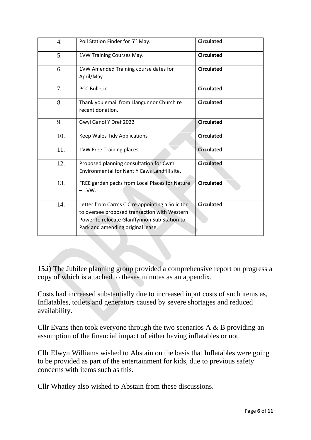| 4.  | Poll Station Finder for 5 <sup>th</sup> May.                                                                                                                                         | <b>Circulated</b> |
|-----|--------------------------------------------------------------------------------------------------------------------------------------------------------------------------------------|-------------------|
| 5.  | 1VW Training Courses May.                                                                                                                                                            | <b>Circulated</b> |
| 6.  | 1VW Amended Training course dates for<br>April/May.                                                                                                                                  | <b>Circulated</b> |
| 7.  | <b>PCC Bulletin</b>                                                                                                                                                                  | <b>Circulated</b> |
| 8.  | Thank you email from Llangunnor Church re<br>recent donation.                                                                                                                        | <b>Circulated</b> |
| 9.  | Gwyl Ganol Y Dref 2022                                                                                                                                                               | <b>Circulated</b> |
| 10. | Keep Wales Tidy Applications                                                                                                                                                         | <b>Circulated</b> |
| 11. | 1VW Free Training places.                                                                                                                                                            | <b>Circulated</b> |
| 12. | Proposed planning consultation for Cwm<br>Environmental for Nant Y Caws Landfill site.                                                                                               | <b>Circulated</b> |
| 13. | FREE garden packs from Local Places for Nature<br>$-1$ VW.                                                                                                                           | <b>Circulated</b> |
| 14. | Letter from Carms C C re appointing a Solicitor<br>to oversee proposed transaction with Western<br>Power to relocate Glanffynnon Sub Station to<br>Park and amending original lease. | <b>Circulated</b> |

**15.i)** The Jubilee planning group provided a comprehensive report on progress a copy of which is attached to theses minutes as an appendix.

Costs had increased substantially due to increased input costs of such items as, Inflatables, toilets and generators caused by severe shortages and reduced availability.

Cllr Evans then took everyone through the two scenarios  $A \& B$  providing an assumption of the financial impact of either having inflatables or not.

Cllr Elwyn Williams wished to Abstain on the basis that Inflatables were going to be provided as part of the entertainment for kids, due to previous safety concerns with items such as this.

Cllr Whatley also wished to Abstain from these discussions.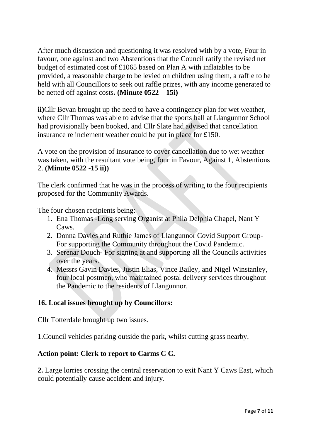After much discussion and questioning it was resolved with by a vote, Four in favour, one against and two Abstentions that the Council ratify the revised net budget of estimated cost of £1065 based on Plan A with inflatables to be provided, a reasonable charge to be levied on children using them, a raffle to be held with all Councillors to seek out raffle prizes, with any income generated to be netted off against costs**. (Minute 0522 – 15i)**

**ii)**Cllr Bevan brought up the need to have a contingency plan for wet weather, where Cllr Thomas was able to advise that the sports hall at Llangunnor School had provisionally been booked, and Cllr Slate had advised that cancellation insurance re inclement weather could be put in place for £150.

A vote on the provision of insurance to cover cancellation due to wet weather was taken, with the resultant vote being, four in Favour, Against 1, Abstentions 2. **(Minute 0522 -15 ii))**

The clerk confirmed that he was in the process of writing to the four recipients proposed for the Community Awards.

The four chosen recipients being:

- 1. Ena Thomas -Long serving Organist at Phila Delphia Chapel, Nant Y Caws.
- 2. Donna Davies and Ruthie James of Llangunnor Covid Support Group-For supporting the Community throughout the Covid Pandemic.
- 3. Serenar Douch- For signing at and supporting all the Councils activities over the years.
- 4. Messrs Gavin Davies, Justin Elias, Vince Bailey, and Nigel Winstanley, four local postmen, who maintained postal delivery services throughout the Pandemic to the residents of Llangunnor.

### **16. Local issues brought up by Councillors:**

Cllr Totterdale brought up two issues.

1.Council vehicles parking outside the park, whilst cutting grass nearby.

### **Action point: Clerk to report to Carms C C.**

**2.** Large lorries crossing the central reservation to exit Nant Y Caws East, which could potentially cause accident and injury.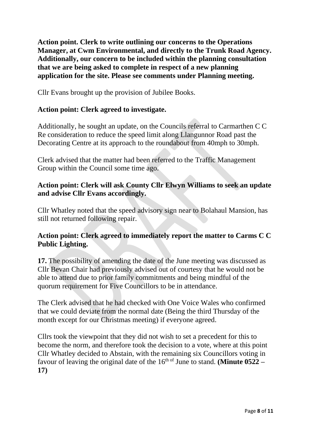**Action point. Clerk to write outlining our concerns to the Operations Manager, at Cwm Environmental, and directly to the Trunk Road Agency. Additionally, our concern to be included within the planning consultation that we are being asked to complete in respect of a new planning application for the site. Please see comments under Planning meeting.**

Cllr Evans brought up the provision of Jubilee Books.

#### **Action point: Clerk agreed to investigate.**

Additionally, he sought an update, on the Councils referral to Carmarthen C C Re consideration to reduce the speed limit along Llangunnor Road past the Decorating Centre at its approach to the roundabout from 40mph to 30mph.

Clerk advised that the matter had been referred to the Traffic Management Group within the Council some time ago.

### **Action point: Clerk will ask County Cllr Elwyn Williams to seek an update and advise Cllr Evans accordingly.**

Cllr Whatley noted that the speed advisory sign near to Bolahaul Mansion, has still not returned following repair.

## **Action point: Clerk agreed to immediately report the matter to Carms C C Public Lighting.**

**17.** The possibility of amending the date of the June meeting was discussed as Cllr Bevan Chair had previously advised out of courtesy that he would not be able to attend due to prior family commitments and being mindful of the quorum requirement for Five Councillors to be in attendance.

The Clerk advised that he had checked with One Voice Wales who confirmed that we could deviate from the normal date (Being the third Thursday of the month except for our Christmas meeting) if everyone agreed.

Cllrs took the viewpoint that they did not wish to set a precedent for this to become the norm, and therefore took the decision to a vote, where at this point Cllr Whatley decided to Abstain, with the remaining six Councillors voting in favour of leaving the original date of the 16<sup>th of</sup> June to stand. **(Minute 0522** – **17)**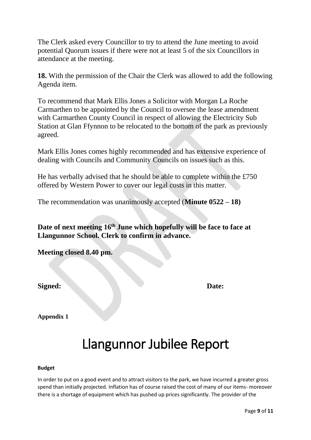The Clerk asked every Councillor to try to attend the June meeting to avoid potential Quorum issues if there were not at least 5 of the six Councillors in attendance at the meeting.

**18.** With the permission of the Chair the Clerk was allowed to add the following Agenda item.

To recommend that Mark Ellis Jones a Solicitor with Morgan La Roche Carmarthen to be appointed by the Council to oversee the lease amendment with Carmarthen County Council in respect of allowing the Electricity Sub Station at Glan Ffynnon to be relocated to the bottom of the park as previously agreed.

Mark Ellis Jones comes highly recommended and has extensive experience of dealing with Councils and Community Councils on issues such as this.

He has verbally advised that he should be able to complete within the £750 offered by Western Power to cover our legal costs in this matter.

The recommendation was unanimously accepted (**Minute 0522 – 18)**

**Date of next meeting 16 th June which hopefully will be face to face at Llangunnor School. Clerk to confirm in advance.**

**Meeting closed 8.40 pm.**

**Signed: Date:**

**Appendix 1**

# Llangunnor Jubilee Report

#### **Budget**

In order to put on a good event and to attract visitors to the park, we have incurred a greater gross spend than initially projected. Inflation has of course raised the cost of many of our items- moreover there is a shortage of equipment which has pushed up prices significantly. The provider of the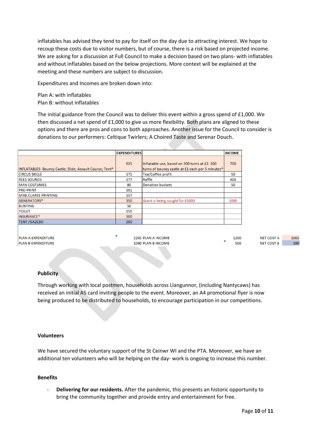inflatables has advised they tend to pay for itself on the day due to attracting interest. We hope to recoup these costs due to visitor numbers, but of course, there is a risk based on projected income. We are asking for a discussion at Full Council to make a decision based on two plans- with inflatables and without inflatables based on the below projections. More context will be explained at the meeting and these numbers are subject to discussion.

Expenditures and Incomes are broken down into:

Plan A: with inflatables Plan B: without inflatables

The initial guidance from the Council was to deliver this event within a gross spend of £1,000. We then discussed a net spend of £1,000 to give us more flexibility. Both plans are aligned to these options and there are pros and cons to both approaches. Another issue for the Council to consider is donations to our performers: Celtique Twirlers; A Choired Taste and Serenar Douch.

|                                                          | <b>EXPENDITURES</b> |                                                                                                   | <b>INCOME</b> |
|----------------------------------------------------------|---------------------|---------------------------------------------------------------------------------------------------|---------------|
| INFLATABLES- Bouncy Castle; Slide; Assault Course; Tent* | 925                 | Inflatable use, based on 300 turns at £2. 100<br>turns of bouncy castle at £1 each per 5 minutes* | 700           |
| <b>CIRCUS SKILLS</b>                                     | 175                 | Tea/Coffee profit                                                                                 | 50            |
| <b>REES SOUNDS</b>                                       | 177                 | Raffle                                                                                            | 400           |
| <b>MAN COSTUMES</b>                                      | 80                  | <b>Donation buckets</b>                                                                           | 50            |
| <b>PRO PRINT</b>                                         | 101                 |                                                                                                   |               |
| <b>MIKE CLARKE PRINTING</b>                              | 157                 |                                                                                                   |               |
| GENERATORS*                                              | 350                 | Grant is being sought for £1000                                                                   | 1000          |
| <b>BUNTING</b>                                           | 50                  |                                                                                                   |               |
| <b>TOILET</b>                                            | 150                 |                                                                                                   |               |
| INSURANCE*                                               | 100                 |                                                                                                   |               |
| <b>TENT /GAZEBO</b>                                      | 200                 |                                                                                                   |               |
|                                                          |                     |                                                                                                   |               |

PLAN A EXPENDITURE PLAN B EXPENDITURE 2265 PLAN A INCOME 1090 PLAN B INCOME

| 1200 | <b>NELCOSTA</b>   |  |
|------|-------------------|--|
| 500  | <b>NET COST B</b> |  |

1065

590

#### **Publicity**

Through working with local postmen, households across Llangunnor, (including Nantycaws) has received an initial A5 card inviting people to the event. Moreover, an A4 promotional flyer is now being produced to be distributed to households, to encourage participation in our competitions.

#### **Volunteers**

We have secured the voluntary support of the St Ceinwr WI and the PTA. Moreover, we have an additional ten volunteers who will be helping on the day- work is ongoing to increase this number.

#### **Benefits**

- **Delivering for our residents.** After the pandemic, this presents an historic opportunity to bring the community together and provide entry and entertainment for free.